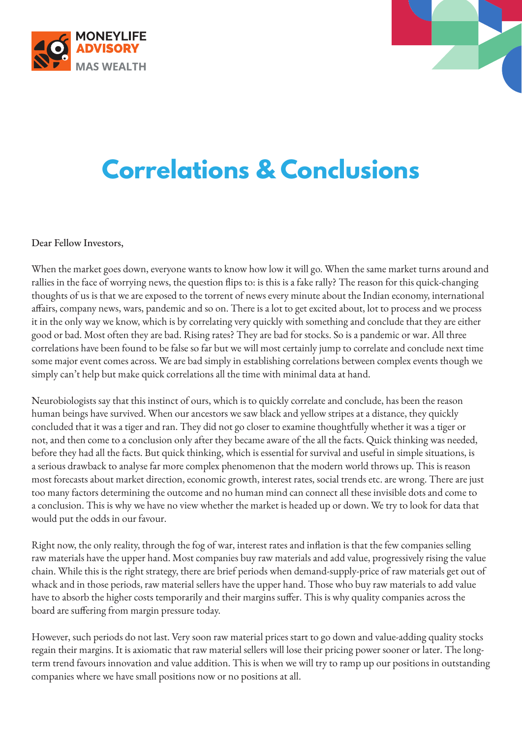



## **Correlations & Conclusions**

## Dear Fellow Investors,

When the market goes down, everyone wants to know how low it will go. When the same market turns around and rallies in the face of worrying news, the question flips to: is this is a fake rally? The reason for this quick-changing thoughts of us is that we are exposed to the torrent of news every minute about the Indian economy, international affairs, company news, wars, pandemic and so on. There is a lot to get excited about, lot to process and we process it in the only way we know, which is by correlating very quickly with something and conclude that they are either good or bad. Most often they are bad. Rising rates? They are bad for stocks. So is a pandemic or war. All three correlations have been found to be false so far but we will most certainly jump to correlate and conclude next time some major event comes across. We are bad simply in establishing correlations between complex events though we simply can't help but make quick correlations all the time with minimal data at hand.

Neurobiologists say that this instinct of ours, which is to quickly correlate and conclude, has been the reason human beings have survived. When our ancestors we saw black and yellow stripes at a distance, they quickly concluded that it was a tiger and ran. They did not go closer to examine thoughtfully whether it was a tiger or not, and then come to a conclusion only after they became aware of the all the facts. Quick thinking was needed, before they had all the facts. But quick thinking, which is essential for survival and useful in simple situations, is a serious drawback to analyse far more complex phenomenon that the modern world throws up. This is reason most forecasts about market direction, economic growth, interest rates, social trends etc. are wrong. There are just too many factors determining the outcome and no human mind can connect all these invisible dots and come to a conclusion. This is why we have no view whether the market is headed up or down. We try to look for data that would put the odds in our favour.

Right now, the only reality, through the fog of war, interest rates and inflation is that the few companies selling raw materials have the upper hand. Most companies buy raw materials and add value, progressively rising the value chain. While this is the right strategy, there are brief periods when demand-supply-price of raw materials get out of whack and in those periods, raw material sellers have the upper hand. Those who buy raw materials to add value have to absorb the higher costs temporarily and their margins suffer. This is why quality companies across the board are suffering from margin pressure today.

However, such periods do not last. Very soon raw material prices start to go down and value-adding quality stocks regain their margins. It is axiomatic that raw material sellers will lose their pricing power sooner or later. The longterm trend favours innovation and value addition. This is when we will try to ramp up our positions in outstanding companies where we have small positions now or no positions at all.